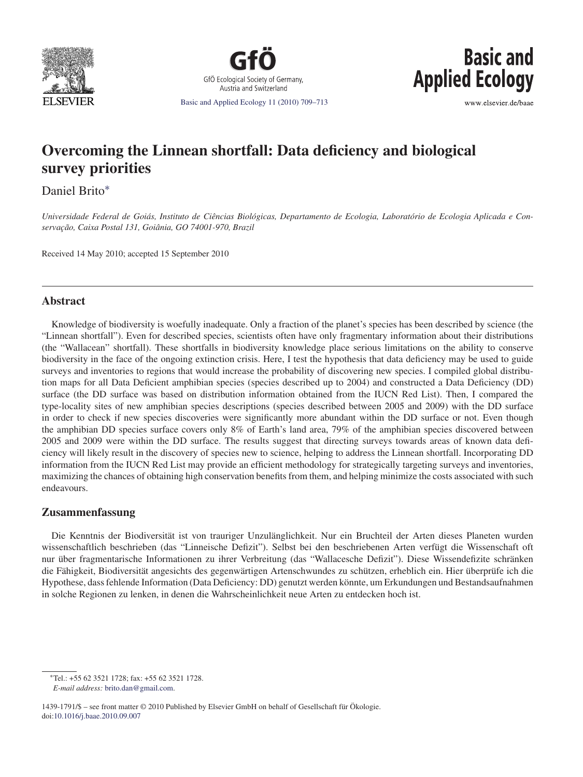





www.elsevier.de/baae

# **Overcoming the Linnean shortfall: Data deficiency and biological survey priorities**

Daniel Brito∗

*Universidade Federal de Goiás, Instituto de Ciências Biológicas, Departamento de Ecologia, Laboratório de Ecologia Aplicada e Conserva¸cão, Caixa Postal 131, Goiânia, GO 74001-970, Brazil*

Received 14 May 2010; accepted 15 September 2010

## **Abstract**

Knowledge of biodiversity is woefully inadequate. Only a fraction of the planet's species has been described by science (the "Linnean shortfall"). Even for described species, scientists often have only fragmentary information about their distributions (the "Wallacean" shortfall). These shortfalls in biodiversity knowledge place serious limitations on the ability to conserve biodiversity in the face of the ongoing extinction crisis. Here, I test the hypothesis that data deficiency may be used to guide surveys and inventories to regions that would increase the probability of discovering new species. I compiled global distribution maps for all Data Deficient amphibian species (species described up to 2004) and constructed a Data Deficiency (DD) surface (the DD surface was based on distribution information obtained from the IUCN Red List). Then, I compared the type-locality sites of new amphibian species descriptions (species described between 2005 and 2009) with the DD surface in order to check if new species discoveries were significantly more abundant within the DD surface or not. Even though the amphibian DD species surface covers only 8% of Earth's land area, 79% of the amphibian species discovered between 2005 and 2009 were within the DD surface. The results suggest that directing surveys towards areas of known data deficiency will likely result in the discovery of species new to science, helping to address the Linnean shortfall. Incorporating DD information from the IUCN Red List may provide an efficient methodology for strategically targeting surveys and inventories, maximizing the chances of obtaining high conservation benefits from them, and helping minimize the costs associated with such endeavours.

## **Zusammenfassung**

Die Kenntnis der Biodiversität ist von trauriger Unzulänglichkeit. Nur ein Bruchteil der Arten dieses Planeten wurden wissenschaftlich beschrieben (das "Linneische Defizit"). Selbst bei den beschriebenen Arten verfügt die Wissenschaft oft nur über fragmentarische Informationen zu ihrer Verbreitung (das "Wallacesche Defizit"). Diese Wissendefizite schränken die Fähigkeit, Biodiversität angesichts des gegenwärtigen Artenschwundes zu schützen, erheblich ein. Hier überprüfe ich die Hypothese, dass fehlende Information (Data Deficiency: DD) genutzt werden könnte, um Erkundungen und Bestandsaufnahmen in solche Regionen zu lenken, in denen die Wahrscheinlichkeit neue Arten zu entdecken hoch ist.

<sup>∗</sup>Tel.: +55 62 3521 1728; fax: +55 62 3521 1728.

*E-mail address:* [brito.dan@gmail.com.](mailto:brito.dan@gmail.com)

<sup>1439-1791/\$ –</sup> see front matter © 2010 Published by Elsevier GmbH on behalf of Gesellschaft für Ökologie. doi[:10.1016/j.baae.2010.09.007](dx.doi.org/10.1016/j.baae.2010.09.007)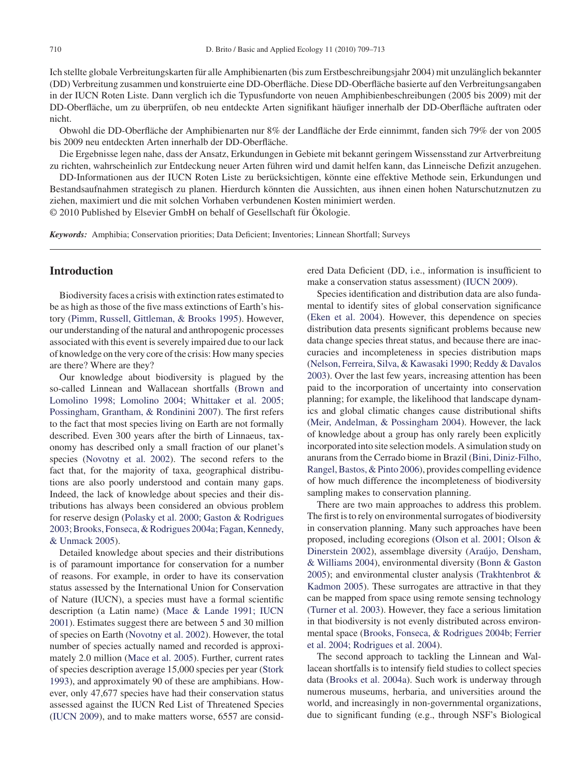Ich stellte globale Verbreitungskarten für alle Amphibienarten (bis zum Erstbeschreibungsjahr 2004) mit unzulänglich bekannter (DD) Verbreitung zusammen und konstruierte eine DD-Oberfläche. Diese DD-Oberfläche basierte auf den Verbreitungsangaben in der IUCN Roten Liste. Dann verglich ich die Typusfundorte von neuen Amphibienbeschreibungen (2005 bis 2009) mit der DD-Oberfläche, um zu überprüfen, ob neu entdeckte Arten signifikant häufiger innerhalb der DD-Oberfläche auftraten oder nicht.

Obwohl die DD-Oberfläche der Amphibienarten nur 8% der Landfläche der Erde einnimmt, fanden sich 79% der von 2005 bis 2009 neu entdeckten Arten innerhalb der DD-Oberfläche.

Die Ergebnisse legen nahe, dass der Ansatz, Erkundungen in Gebiete mit bekannt geringem Wissensstand zur Artverbreitung zu richten, wahrscheinlich zur Entdeckung neuer Arten führen wird und damit helfen kann, das Linneische Defizit anzugehen.

DD-Informationen aus der IUCN Roten Liste zu berücksichtigen, könnte eine effektive Methode sein, Erkundungen und Bestandsaufnahmen strategisch zu planen. Hierdurch könnten die Aussichten, aus ihnen einen hohen Naturschutznutzen zu ziehen, maximiert und die mit solchen Vorhaben verbundenen Kosten minimiert werden. © 2010 Published by Elsevier GmbH on behalf of Gesellschaft für Ökologie.

*Keywords:* Amphibia; Conservation priorities; Data Deficient; Inventories; Linnean Shortfall; Surveys

#### **Introduction**

Biodiversity faces a crisis with extinction rates estimated to be as high as those of the five mass extinctions of Earth's history ([Pimm, Russell, Gittleman, & Brooks 1995\).](#page-4-0) However, our understanding of the natural and anthropogenic processes associated with this event is severely impaired due to our lack of knowledge on the very core of the crisis: How many species are there? Where are they?

Our knowledge about biodiversity is plagued by the so-called Linnean and Wallacean shortfalls [\(Brown and](#page-3-0) [Lomolino 1998; Lomolino 2004; Whittaker et al. 2005;](#page-3-0) [Possingham, Grantham, & Rondinini 2007\).](#page-3-0) The first refers to the fact that most species living on Earth are not formally described. Even 300 years after the birth of Linnaeus, taxonomy has described only a small fraction of our planet's species ([Novotny et al. 2002\).](#page-4-0) The second refers to the fact that, for the majority of taxa, geographical distributions are also poorly understood and contain many gaps. Indeed, the lack of knowledge about species and their distributions has always been considered an obvious problem for reserve design ([Polasky et al. 2000; Gaston & Rodrigues](#page-4-0) [2003; Brooks, Fonseca, & Rodrigues 2004a; Fagan, Kennedy,](#page-4-0) [& Unmack 2005\).](#page-4-0)

Detailed knowledge about species and their distributions is of paramount importance for conservation for a number of reasons. For example, in order to have its conservation status assessed by the International Union for Conservation of Nature (IUCN), a species must have a formal scientific description (a Latin name) [\(Mace & Lande 1991; IUCN](#page-4-0) [2001\).](#page-4-0) Estimates suggest there are between 5 and 30 million of species on Earth ([Novotny et al. 2002\).](#page-4-0) However, the total number of species actually named and recorded is approximately 2.0 million ([Mace et al. 2005\).](#page-4-0) Further, current rates of species description average 15,000 species per year [\(Stork](#page-4-0) [1993\),](#page-4-0) and approximately 90 of these are amphibians. However, only 47,677 species have had their conservation status assessed against the IUCN Red List of Threatened Species [\(IUCN 2009\),](#page-4-0) and to make matters worse, 6557 are considered Data Deficient (DD, i.e., information is insufficient to make a conservation status assessment) [\(IUCN 2009\).](#page-4-0)

Species identification and distribution data are also fundamental to identify sites of global conservation significance [\(Eken et al. 2004\).](#page-3-0) However, this dependence on species distribution data presents significant problems because new data change species threat status, and because there are inaccuracies and incompleteness in species distribution maps [\(Nelson, Ferreira, Silva, & Kawasaki 1990; Reddy & Davalos](#page-4-0) [2003\).](#page-4-0) Over the last few years, increasing attention has been paid to the incorporation of uncertainty into conservation planning; for example, the likelihood that landscape dynamics and global climatic changes cause distributional shifts [\(Meir, Andelman, & Possingham 2004\).](#page-4-0) However, the lack of knowledge about a group has only rarely been explicitly incorporated into site selection models. A simulation study on anurans from the Cerrado biome in Brazil [\(Bini, Diniz-Filho,](#page-3-0) [Rangel, Bastos, & Pinto 2006\),](#page-3-0) provides compelling evidence of how much difference the incompleteness of biodiversity sampling makes to conservation planning.

There are two main approaches to address this problem. The first is to rely on environmental surrogates of biodiversity in conservation planning. Many such approaches have been proposed, including ecoregions ([Olson et al. 2001; Olson &](#page-4-0) [Dinerstein 2002\),](#page-4-0) assemblage diversity [\(Araújo, Densham,](#page-3-0) [& Williams 2004\),](#page-3-0) environmental diversity [\(Bonn & Gaston](#page-3-0) [2005\);](#page-3-0) and environmental cluster analysis [\(Trakhtenbrot &](#page-4-0) [Kadmon 2005\).](#page-4-0) These surrogates are attractive in that they can be mapped from space using remote sensing technology [\(Turner et al. 2003\).](#page-4-0) However, they face a serious limitation in that biodiversity is not evenly distributed across environmental space [\(Brooks, Fonseca, & Rodrigues 2004b; Ferrier](#page-3-0) [et al. 2004; Rodrigues et al. 2004\).](#page-3-0)

The second approach to tackling the Linnean and Wallacean shortfalls is to intensify field studies to collect species data ([Brooks et al. 2004a\).](#page-3-0) Such work is underway through numerous museums, herbaria, and universities around the world, and increasingly in non-governmental organizations, due to significant funding (e.g., through NSF's Biological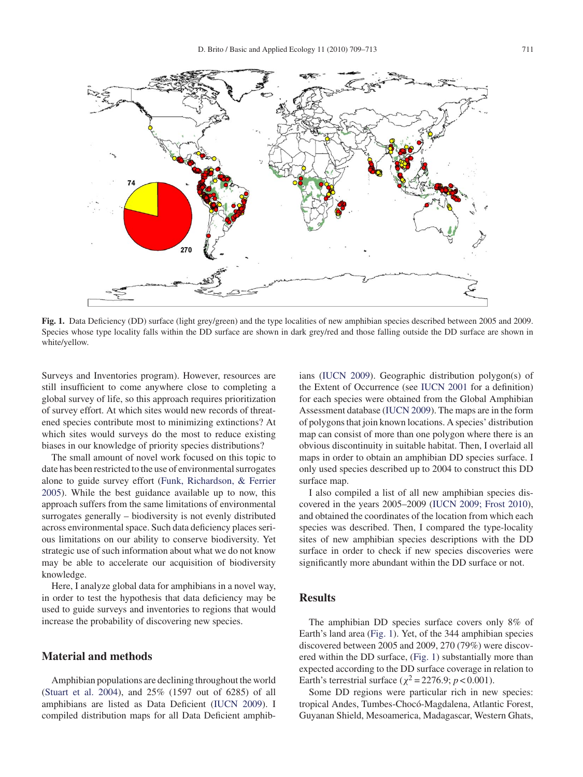<span id="page-2-0"></span>

**Fig. 1.** Data Deficiency (DD) surface (light grey/green) and the type localities of new amphibian species described between 2005 and 2009. Species whose type locality falls within the DD surface are shown in dark grey/red and those falling outside the DD surface are shown in white/yellow.

Surveys and Inventories program). However, resources are still insufficient to come anywhere close to completing a global survey of life, so this approach requires prioritization of survey effort. At which sites would new records of threatened species contribute most to minimizing extinctions? At which sites would surveys do the most to reduce existing biases in our knowledge of priority species distributions?

The small amount of novel work focused on this topic to date has been restricted to the use of environmental surrogates alone to guide survey effort ([Funk, Richardson, & Ferrier](#page-3-0) [2005\).](#page-3-0) While the best guidance available up to now, this approach suffers from the same limitations of environmental surrogates generally – biodiversity is not evenly distributed across environmental space. Such data deficiency places serious limitations on our ability to conserve biodiversity. Yet strategic use of such information about what we do not know may be able to accelerate our acquisition of biodiversity knowledge.

Here, I analyze global data for amphibians in a novel way, in order to test the hypothesis that data deficiency may be used to guide surveys and inventories to regions that would increase the probability of discovering new species.

## **Material and methods**

Amphibian populations are declining throughout the world ([Stuart et al. 2004\),](#page-4-0) and 25% (1597 out of 6285) of all amphibians are listed as Data Deficient ([IUCN 2009\).](#page-4-0) I compiled distribution maps for all Data Deficient amphibians [\(IUCN 2009\).](#page-4-0) Geographic distribution polygon(s) of the Extent of Occurrence (see [IUCN 2001](#page-4-0) for a definition) for each species were obtained from the Global Amphibian Assessment database ([IUCN 2009\).](#page-4-0) The maps are in the form of polygons that join known locations. A species' distribution map can consist of more than one polygon where there is an obvious discontinuity in suitable habitat. Then, I overlaid all maps in order to obtain an amphibian DD species surface. I only used species described up to 2004 to construct this DD surface map.

I also compiled a list of all new amphibian species discovered in the years 2005–2009 ([IUCN 2009; Frost 2010\),](#page-4-0) and obtained the coordinates of the location from which each species was described. Then, I compared the type-locality sites of new amphibian species descriptions with the DD surface in order to check if new species discoveries were significantly more abundant within the DD surface or not.

### **Results**

The amphibian DD species surface covers only 8% of Earth's land area (Fig. 1). Yet, of the 344 amphibian species discovered between 2005 and 2009, 270 (79%) were discovered within the DD surface, (Fig. 1) substantially more than expected according to the DD surface coverage in relation to Earth's terrestrial surface ( $\chi^2$  = 2276.9; *p* < 0.001).

Some DD regions were particular rich in new species: tropical Andes, Tumbes-Chocó-Magdalena, Atlantic Forest, Guyanan Shield, Mesoamerica, Madagascar, Western Ghats,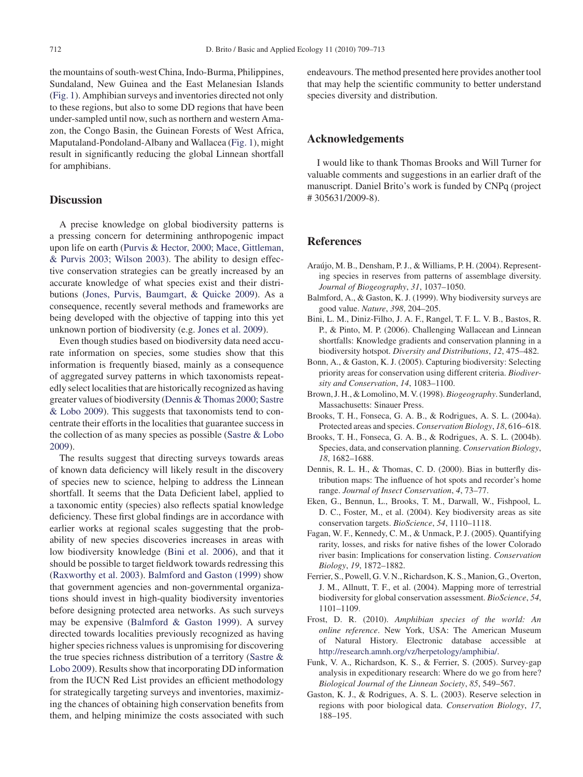<span id="page-3-0"></span>the mountains of south-west China, Indo-Burma, Philippines, Sundaland, New Guinea and the East Melanesian Islands [\(Fig. 1\).](#page-2-0) Amphibian surveys and inventories directed not only to these regions, but also to some DD regions that have been under-sampled until now, such as northern and western Amazon, the Congo Basin, the Guinean Forests of West Africa, Maputaland-Pondoland-Albany and Wallacea [\(Fig. 1\),](#page-2-0) might result in significantly reducing the global Linnean shortfall for amphibians.

## **Discussion**

A precise knowledge on global biodiversity patterns is a pressing concern for determining anthropogenic impact upon life on earth [\(Purvis & Hector, 2000; Mace, Gittleman,](#page-4-0) [& Purvis 2003; Wilson 2003\).](#page-4-0) The ability to design effective conservation strategies can be greatly increased by an accurate knowledge of what species exist and their distributions ([Jones, Purvis, Baumgart, & Quicke 2009\).](#page-4-0) As a consequence, recently several methods and frameworks are being developed with the objective of tapping into this yet unknown portion of biodiversity (e.g. [Jones et al. 2009\).](#page-4-0)

Even though studies based on biodiversity data need accurate information on species, some studies show that this information is frequently biased, mainly as a consequence of aggregated survey patterns in which taxonomists repeatedly select localities that are historically recognized as having greater values of biodiversity (Dennis & Thomas 2000; Sastre & Lobo 2009). This suggests that taxonomists tend to concentrate their efforts in the localities that guarantee success in the collection of as many species as possible [\(Sastre & Lobo](#page-4-0) [2009\).](#page-4-0)

The results suggest that directing surveys towards areas of known data deficiency will likely result in the discovery of species new to science, helping to address the Linnean shortfall. It seems that the Data Deficient label, applied to a taxonomic entity (species) also reflects spatial knowledge deficiency. These first global findings are in accordance with earlier works at regional scales suggesting that the probability of new species discoveries increases in areas with low biodiversity knowledge (Bini et al. 2006), and that it should be possible to target fieldwork towards redressing this [\(Raxworthy et al. 2003\).](#page-4-0) Balmford and Gaston (1999) show that government agencies and non-governmental organizations should invest in high-quality biodiversity inventories before designing protected area networks. As such surveys may be expensive (Balmford & Gaston 1999). A survey directed towards localities previously recognized as having higher species richness values is unpromising for discovering the true species richness distribution of a territory [\(Sastre &](#page-4-0) [Lobo 2009\).](#page-4-0) Results show that incorporating DD information from the IUCN Red List provides an efficient methodology for strategically targeting surveys and inventories, maximizing the chances of obtaining high conservation benefits from them, and helping minimize the costs associated with such endeavours. The method presented here provides another tool that may help the scientific community to better understand species diversity and distribution.

### **Acknowledgements**

I would like to thank Thomas Brooks and Will Turner for valuable comments and suggestions in an earlier draft of the manuscript. Daniel Brito's work is funded by CNPq (project # 305631/2009-8).

## **References**

- Araújo, M. B., Densham, P. J., & Williams, P. H. (2004). Representing species in reserves from patterns of assemblage diversity. *Journal of Biogeography*, *31*, 1037–1050.
- Balmford, A., & Gaston, K. J. (1999). Why biodiversity surveys are good value. *Nature*, *398*, 204–205.
- Bini, L. M., Diniz-Filho, J. A. F., Rangel, T. F. L. V. B., Bastos, R. P., & Pinto, M. P. (2006). Challenging Wallacean and Linnean shortfalls: Knowledge gradients and conservation planning in a biodiversity hotspot. *Diversity and Distributions*, *12*, 475–482.
- Bonn, A., & Gaston, K. J. (2005). Capturing biodiversity: Selecting priority areas for conservation using different criteria. *Biodiversity and Conservation*, *14*, 1083–1100.
- Brown, J. H., & Lomolino, M. V. (1998).*Biogeography*. Sunderland, Massachusetts: Sinauer Press.
- Brooks, T. H., Fonseca, G. A. B., & Rodrigues, A. S. L. (2004a). Protected areas and species. *Conservation Biology*, *18*, 616–618.
- Brooks, T. H., Fonseca, G. A. B., & Rodrigues, A. S. L. (2004b). Species, data, and conservation planning. *Conservation Biology*, *18*, 1682–1688.
- Dennis, R. L. H., & Thomas, C. D. (2000). Bias in butterfly distribution maps: The influence of hot spots and recorder's home range. *Journal of Insect Conservation*, *4*, 73–77.
- Eken, G., Bennun, L., Brooks, T. M., Darwall, W., Fishpool, L. D. C., Foster, M., et al. (2004). Key biodiversity areas as site conservation targets. *BioScience*, *54*, 1110–1118.
- Fagan, W. F., Kennedy, C. M., & Unmack, P. J. (2005). Quantifying rarity, losses, and risks for native fishes of the lower Colorado river basin: Implications for conservation listing. *Conservation Biology*, *19*, 1872–1882.
- Ferrier, S., Powell, G. V. N., Richardson, K. S., Manion, G., Overton, J. M., Allnutt, T. F., et al. (2004). Mapping more of terrestrial biodiversity for global conservation assessment. *BioScience*, *54*, 1101–1109.
- Frost, D. R. (2010). *Amphibian species of the world: An online reference*. New York, USA: The American Museum of Natural History. Electronic database accessible at [http://research.amnh.org/vz/herpetology/amphibia/.](http://research.amnh.org/vz/herpetology/amphibia/)
- Funk, V. A., Richardson, K. S., & Ferrier, S. (2005). Survey-gap analysis in expeditionary research: Where do we go from here? *Biological Journal of the Linnean Society*, *85*, 549–567.
- Gaston, K. J., & Rodrigues, A. S. L. (2003). Reserve selection in regions with poor biological data. *Conservation Biology*, *17*, 188–195.